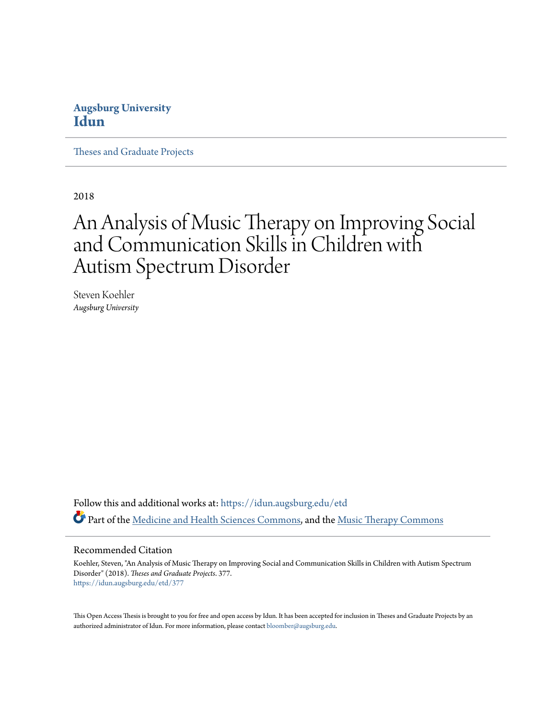# **Augsburg University [Idun](https://idun.augsburg.edu?utm_source=idun.augsburg.edu%2Fetd%2F377&utm_medium=PDF&utm_campaign=PDFCoverPages)**

[Theses and Graduate Projects](https://idun.augsburg.edu/etd?utm_source=idun.augsburg.edu%2Fetd%2F377&utm_medium=PDF&utm_campaign=PDFCoverPages)

2018

# An Analysis of Music Therapy on Improving Social and Communication Skills in Children with Autism Spectrum Disorder

Steven Koehler *Augsburg University*

Follow this and additional works at: [https://idun.augsburg.edu/etd](https://idun.augsburg.edu/etd?utm_source=idun.augsburg.edu%2Fetd%2F377&utm_medium=PDF&utm_campaign=PDFCoverPages) Part of the [Medicine and Health Sciences Commons](http://network.bepress.com/hgg/discipline/648?utm_source=idun.augsburg.edu%2Fetd%2F377&utm_medium=PDF&utm_campaign=PDFCoverPages), and the [Music Therapy Commons](http://network.bepress.com/hgg/discipline/1248?utm_source=idun.augsburg.edu%2Fetd%2F377&utm_medium=PDF&utm_campaign=PDFCoverPages)

#### Recommended Citation

Koehler, Steven, "An Analysis of Music Therapy on Improving Social and Communication Skills in Children with Autism Spectrum Disorder" (2018). *Theses and Graduate Projects*. 377. [https://idun.augsburg.edu/etd/377](https://idun.augsburg.edu/etd/377?utm_source=idun.augsburg.edu%2Fetd%2F377&utm_medium=PDF&utm_campaign=PDFCoverPages)

This Open Access Thesis is brought to you for free and open access by Idun. It has been accepted for inclusion in Theses and Graduate Projects by an authorized administrator of Idun. For more information, please contact [bloomber@augsburg.edu.](mailto:bloomber@augsburg.edu)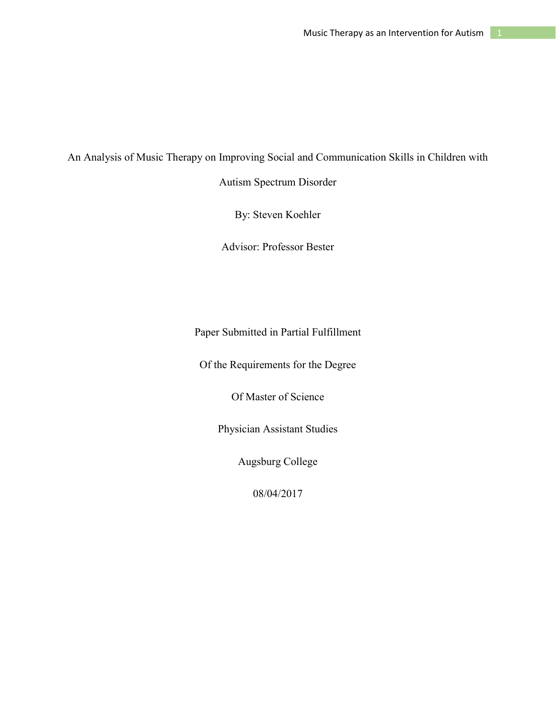An Analysis of Music Therapy on Improving Social and Communication Skills in Children with

Autism Spectrum Disorder

By: Steven Koehler

Advisor: Professor Bester

Paper Submitted in Partial Fulfillment

Of the Requirements for the Degree

Of Master of Science

Physician Assistant Studies

Augsburg College

08/04/2017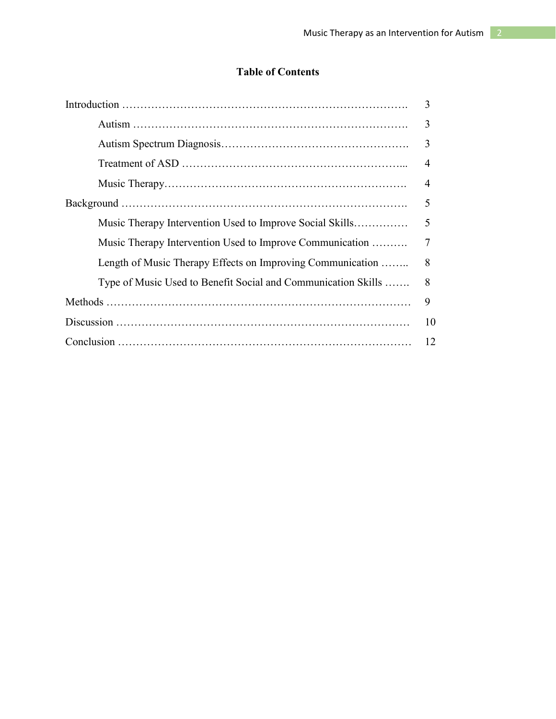# **Table of Contents**

|                                                               | 3  |
|---------------------------------------------------------------|----|
|                                                               | 3  |
|                                                               | 3  |
|                                                               | 4  |
|                                                               | 4  |
|                                                               | 5  |
| Music Therapy Intervention Used to Improve Social Skills      | 5  |
| Music Therapy Intervention Used to Improve Communication      | 7  |
| Length of Music Therapy Effects on Improving Communication    | 8  |
| Type of Music Used to Benefit Social and Communication Skills | 8  |
|                                                               | 9  |
|                                                               | 10 |
|                                                               | 12 |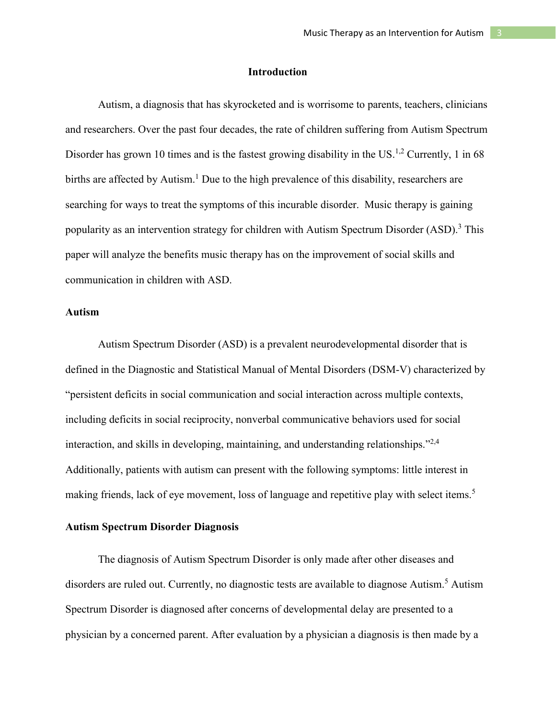#### **Introduction**

Autism, a diagnosis that has skyrocketed and is worrisome to parents, teachers, clinicians and researchers. Over the past four decades, the rate of children suffering from Autism Spectrum Disorder has grown 10 times and is the fastest growing disability in the US.<sup>1,2</sup> Currently, 1 in 68 births are affected by Autism.<sup>1</sup> Due to the high prevalence of this disability, researchers are searching for ways to treat the symptoms of this incurable disorder. Music therapy is gaining popularity as an intervention strategy for children with Autism Spectrum Disorder  $(ASD)$ .<sup>3</sup> This paper will analyze the benefits music therapy has on the improvement of social skills and communication in children with ASD.

#### **Autism**

Autism Spectrum Disorder (ASD) is a prevalent neurodevelopmental disorder that is defined in the Diagnostic and Statistical Manual of Mental Disorders (DSM-V) characterized by "persistent deficits in social communication and social interaction across multiple contexts, including deficits in social reciprocity, nonverbal communicative behaviors used for social interaction, and skills in developing, maintaining, and understanding relationships."2,4 Additionally, patients with autism can present with the following symptoms: little interest in making friends, lack of eye movement, loss of language and repetitive play with select items.<sup>5</sup>

# **Autism Spectrum Disorder Diagnosis**

The diagnosis of Autism Spectrum Disorder is only made after other diseases and disorders are ruled out. Currently, no diagnostic tests are available to diagnose Autism.<sup>5</sup> Autism Spectrum Disorder is diagnosed after concerns of developmental delay are presented to a physician by a concerned parent. After evaluation by a physician a diagnosis is then made by a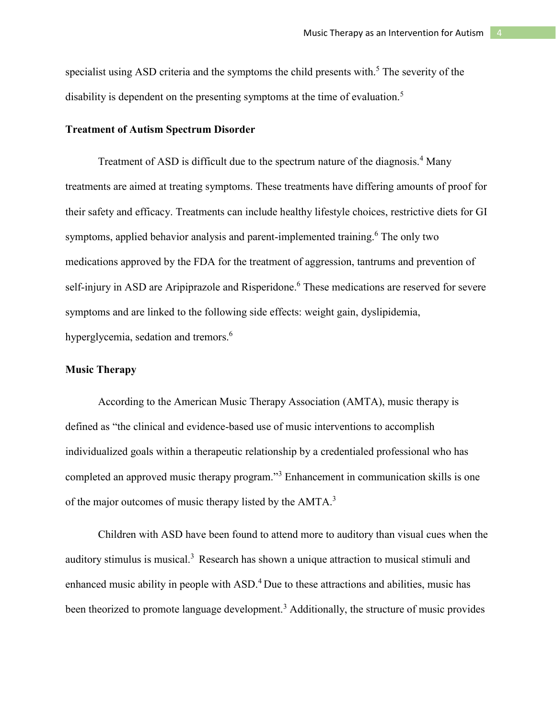specialist using ASD criteria and the symptoms the child presents with.<sup>5</sup> The severity of the disability is dependent on the presenting symptoms at the time of evaluation.<sup>5</sup>

#### **Treatment of Autism Spectrum Disorder**

Treatment of ASD is difficult due to the spectrum nature of the diagnosis.<sup>4</sup> Many treatments are aimed at treating symptoms. These treatments have differing amounts of proof for their safety and efficacy. Treatments can include healthy lifestyle choices, restrictive diets for GI symptoms, applied behavior analysis and parent-implemented training. <sup>6</sup> The only two medications approved by the FDA for the treatment of aggression, tantrums and prevention of self-injury in ASD are Aripiprazole and Risperidone. <sup>6</sup> These medications are reserved for severe symptoms and are linked to the following side effects: weight gain, dyslipidemia, hyperglycemia, sedation and tremors.<sup>6</sup>

#### **Music Therapy**

According to the American Music Therapy Association (AMTA), music therapy is defined as "the clinical and evidence-based use of music interventions to accomplish individualized goals within a therapeutic relationship by a credentialed professional who has completed an approved music therapy program."<sup>3</sup> Enhancement in communication skills is one of the major outcomes of music therapy listed by the AMTA.<sup>3</sup>

Children with ASD have been found to attend more to auditory than visual cues when the auditory stimulus is musical.<sup>3</sup> Research has shown a unique attraction to musical stimuli and enhanced music ability in people with ASD.<sup>4</sup> Due to these attractions and abilities, music has been theorized to promote language development.<sup>3</sup> Additionally, the structure of music provides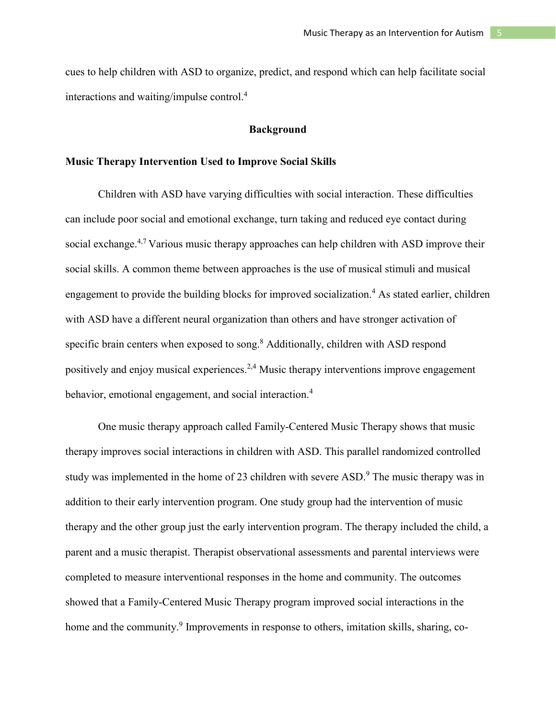cues to help children with ASD to organize, predict, and respond which can help facilitate social interactions and waiting/impulse control.<sup>4</sup>

#### **Background**

#### **Music Therapy Intervention Used to Improve Social Skills**

Children with ASD have varying difficulties with social interaction. These difficulties can include poor social and emotional exchange, turn taking and reduced eye contact during social exchange.<sup>4,7</sup> Various music therapy approaches can help children with ASD improve their social skills. A common theme between approaches is the use of musical stimuli and musical engagement to provide the building blocks for improved socialization.<sup>4</sup> As stated earlier, children with ASD have a different neural organization than others and have stronger activation of specific brain centers when exposed to song.<sup>8</sup> Additionally, children with ASD respond positively and enjoy musical experiences.<sup>2,4</sup> Music therapy interventions improve engagement behavior, emotional engagement, and social interaction.<sup>4</sup>

One music therapy approach called Family-Centered Music Therapy shows that music therapy improves social interactions in children with ASD. This parallel randomized controlled study was implemented in the home of 23 children with severe  $ASD<sup>9</sup>$ . The music therapy was in addition to their early intervention program. One study group had the intervention of music therapy and the other group just the early intervention program. The therapy included the child, a parent and a music therapist. Therapist observational assessments and parental interviews were completed to measure interventional responses in the home and community. The outcomes showed that a Family-Centered Music Therapy program improved social interactions in the home and the community.<sup>9</sup> Improvements in response to others, imitation skills, sharing, co-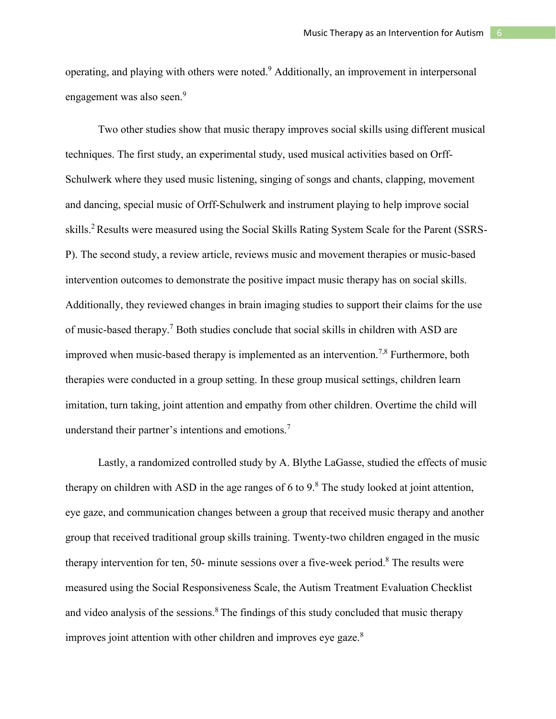operating, and playing with others were noted. <sup>9</sup> Additionally, an improvement in interpersonal engagement was also seen.<sup>9</sup>

Two other studies show that music therapy improves social skills using different musical techniques. The first study, an experimental study, used musical activities based on Orff-Schulwerk where they used music listening, singing of songs and chants, clapping, movement and dancing, special music of Orff-Schulwerk and instrument playing to help improve social skills.2 Results were measured using the Social Skills Rating System Scale for the Parent (SSRS-P). The second study, a review article, reviews music and movement therapies or music-based intervention outcomes to demonstrate the positive impact music therapy has on social skills. Additionally, they reviewed changes in brain imaging studies to support their claims for the use of music-based therapy. <sup>7</sup> Both studies conclude that social skills in children with ASD are improved when music-based therapy is implemented as an intervention.<sup>7,8</sup> Furthermore, both therapies were conducted in a group setting. In these group musical settings, children learn imitation, turn taking, joint attention and empathy from other children. Overtime the child will understand their partner's intentions and emotions.<sup>7</sup>

Lastly, a randomized controlled study by A. Blythe LaGasse, studied the effects of music therapy on children with ASD in the age ranges of 6 to  $9<sup>8</sup>$ . The study looked at joint attention, eye gaze, and communication changes between a group that received music therapy and another group that received traditional group skills training. Twenty-two children engaged in the music therapy intervention for ten, 50- minute sessions over a five-week period.<sup>8</sup> The results were measured using the Social Responsiveness Scale, the Autism Treatment Evaluation Checklist and video analysis of the sessions. $8$  The findings of this study concluded that music therapy improves joint attention with other children and improves eye gaze. $8$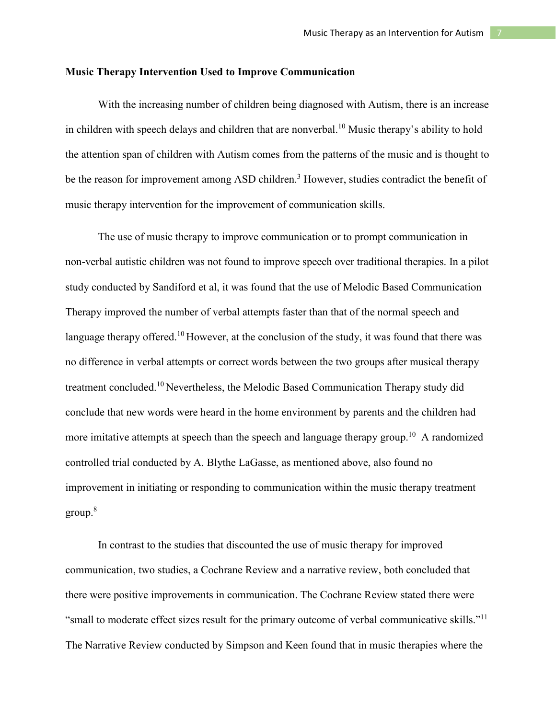#### **Music Therapy Intervention Used to Improve Communication**

With the increasing number of children being diagnosed with Autism, there is an increase in children with speech delays and children that are nonverbal.<sup>10</sup> Music therapy's ability to hold the attention span of children with Autism comes from the patterns of the music and is thought to be the reason for improvement among ASD children.<sup>3</sup> However, studies contradict the benefit of music therapy intervention for the improvement of communication skills.

The use of music therapy to improve communication or to prompt communication in non-verbal autistic children was not found to improve speech over traditional therapies. In a pilot study conducted by Sandiford et al, it was found that the use of Melodic Based Communication Therapy improved the number of verbal attempts faster than that of the normal speech and language therapy offered.<sup>10</sup> However, at the conclusion of the study, it was found that there was no difference in verbal attempts or correct words between the two groups after musical therapy treatment concluded. <sup>10</sup> Nevertheless, the Melodic Based Communication Therapy study did conclude that new words were heard in the home environment by parents and the children had more imitative attempts at speech than the speech and language therapy group.<sup>10</sup> A randomized controlled trial conducted by A. Blythe LaGasse, as mentioned above, also found no improvement in initiating or responding to communication within the music therapy treatment group.8

In contrast to the studies that discounted the use of music therapy for improved communication, two studies, a Cochrane Review and a narrative review, both concluded that there were positive improvements in communication. The Cochrane Review stated there were "small to moderate effect sizes result for the primary outcome of verbal communicative skills."<sup>11</sup> The Narrative Review conducted by Simpson and Keen found that in music therapies where the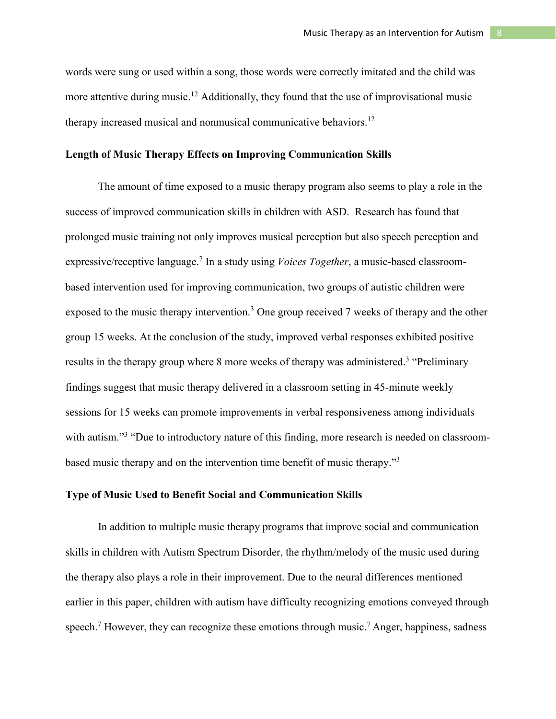words were sung or used within a song, those words were correctly imitated and the child was more attentive during music.<sup>12</sup> Additionally, they found that the use of improvisational music therapy increased musical and nonmusical communicative behaviors.<sup>12</sup>

#### **Length of Music Therapy Effects on Improving Communication Skills**

The amount of time exposed to a music therapy program also seems to play a role in the success of improved communication skills in children with ASD. Research has found that prolonged music training not only improves musical perception but also speech perception and expressive/receptive language.<sup>7</sup> In a study using *Voices Together*, a music-based classroombased intervention used for improving communication, two groups of autistic children were exposed to the music therapy intervention.<sup>3</sup> One group received 7 weeks of therapy and the other group 15 weeks. At the conclusion of the study, improved verbal responses exhibited positive results in the therapy group where 8 more weeks of therapy was administered.<sup>3</sup> "Preliminary findings suggest that music therapy delivered in a classroom setting in 45-minute weekly sessions for 15 weeks can promote improvements in verbal responsiveness among individuals with autism."<sup>3</sup> "Due to introductory nature of this finding, more research is needed on classroombased music therapy and on the intervention time benefit of music therapy."<sup>3</sup>

# **Type of Music Used to Benefit Social and Communication Skills**

In addition to multiple music therapy programs that improve social and communication skills in children with Autism Spectrum Disorder, the rhythm/melody of the music used during the therapy also plays a role in their improvement. Due to the neural differences mentioned earlier in this paper, children with autism have difficulty recognizing emotions conveyed through speech.<sup>7</sup> However, they can recognize these emotions through music.<sup>7</sup> Anger, happiness, sadness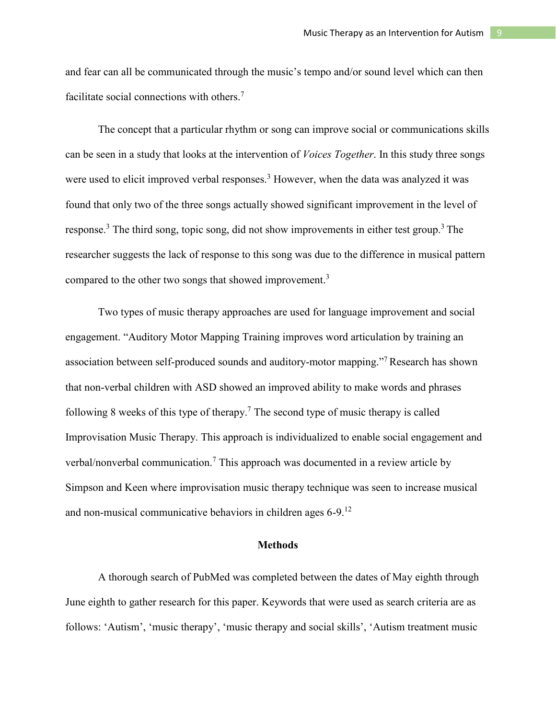and fear can all be communicated through the music's tempo and/or sound level which can then facilitate social connections with others.<sup>7</sup>

The concept that a particular rhythm or song can improve social or communications skills can be seen in a study that looks at the intervention of *Voices Together*. In this study three songs were used to elicit improved verbal responses.<sup>3</sup> However, when the data was analyzed it was found that only two of the three songs actually showed significant improvement in the level of response.<sup>3</sup> The third song, topic song, did not show improvements in either test group.<sup>3</sup> The researcher suggests the lack of response to this song was due to the difference in musical pattern compared to the other two songs that showed improvement.3

Two types of music therapy approaches are used for language improvement and social engagement. "Auditory Motor Mapping Training improves word articulation by training an association between self-produced sounds and auditory-motor mapping."<sup>7</sup> Research has shown that non-verbal children with ASD showed an improved ability to make words and phrases following 8 weeks of this type of therapy.<sup>7</sup> The second type of music therapy is called Improvisation Music Therapy. This approach is individualized to enable social engagement and verbal/nonverbal communication.<sup>7</sup> This approach was documented in a review article by Simpson and Keen where improvisation music therapy technique was seen to increase musical and non-musical communicative behaviors in children ages 6-9.12

#### **Methods**

A thorough search of PubMed was completed between the dates of May eighth through June eighth to gather research for this paper. Keywords that were used as search criteria are as follows: 'Autism', 'music therapy', 'music therapy and social skills', 'Autism treatment music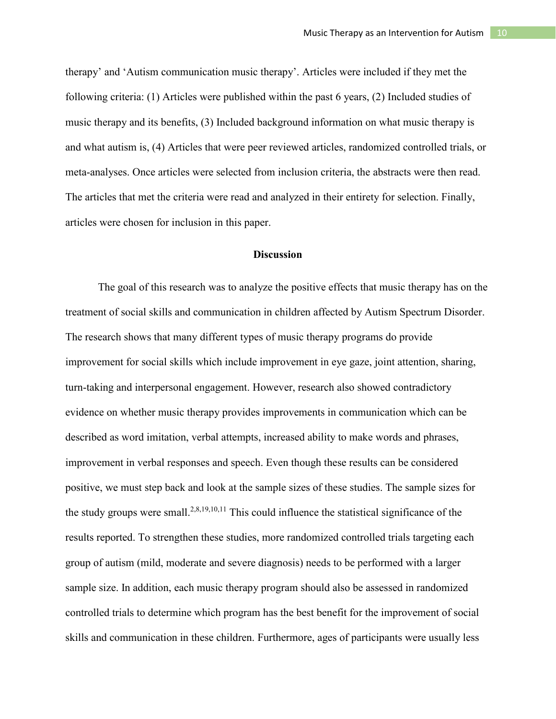therapy' and 'Autism communication music therapy'. Articles were included if they met the following criteria: (1) Articles were published within the past 6 years, (2) Included studies of music therapy and its benefits, (3) Included background information on what music therapy is and what autism is, (4) Articles that were peer reviewed articles, randomized controlled trials, or meta-analyses. Once articles were selected from inclusion criteria, the abstracts were then read. The articles that met the criteria were read and analyzed in their entirety for selection. Finally, articles were chosen for inclusion in this paper.

# **Discussion**

The goal of this research was to analyze the positive effects that music therapy has on the treatment of social skills and communication in children affected by Autism Spectrum Disorder. The research shows that many different types of music therapy programs do provide improvement for social skills which include improvement in eye gaze, joint attention, sharing, turn-taking and interpersonal engagement. However, research also showed contradictory evidence on whether music therapy provides improvements in communication which can be described as word imitation, verbal attempts, increased ability to make words and phrases, improvement in verbal responses and speech. Even though these results can be considered positive, we must step back and look at the sample sizes of these studies. The sample sizes for the study groups were small.<sup>2,8,19,10,11</sup> This could influence the statistical significance of the results reported. To strengthen these studies, more randomized controlled trials targeting each group of autism (mild, moderate and severe diagnosis) needs to be performed with a larger sample size. In addition, each music therapy program should also be assessed in randomized controlled trials to determine which program has the best benefit for the improvement of social skills and communication in these children. Furthermore, ages of participants were usually less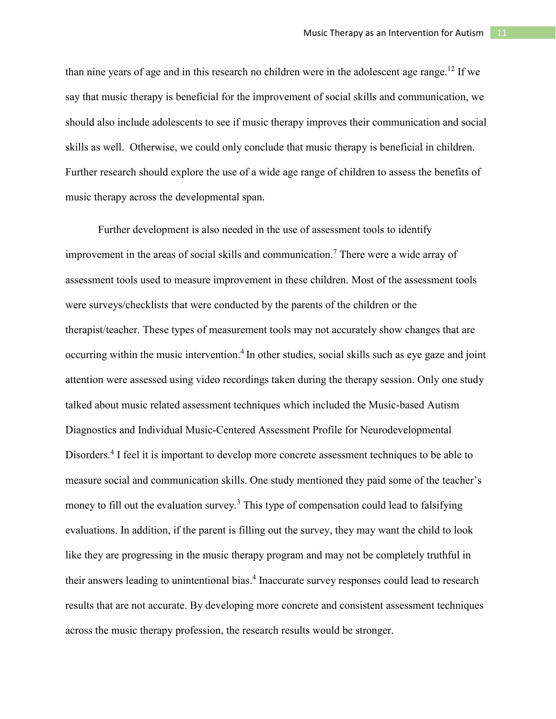than nine years of age and in this research no children were in the adolescent age range.<sup>12</sup> If we say that music therapy is beneficial for the improvement of social skills and communication, we should also include adolescents to see if music therapy improves their communication and social skills as well. Otherwise, we could only conclude that music therapy is beneficial in children. Further research should explore the use of a wide age range of children to assess the benefits of music therapy across the developmental span.

Further development is also needed in the use of assessment tools to identify improvement in the areas of social skills and communication.<sup>7</sup> There were a wide array of assessment tools used to measure improvement in these children. Most of the assessment tools were surveys/checklists that were conducted by the parents of the children or the therapist/teacher. These types of measurement tools may not accurately show changes that are occurring within the music intervention.<sup>4</sup> In other studies, social skills such as eye gaze and joint attention were assessed using video recordings taken during the therapy session. Only one study talked about music related assessment techniques which included the Music-based Autism Diagnostics and Individual Music-Centered Assessment Profile for Neurodevelopmental Disorders.<sup>4</sup> I feel it is important to develop more concrete assessment techniques to be able to measure social and communication skills. One study mentioned they paid some of the teacher's money to fill out the evaluation survey.<sup>3</sup> This type of compensation could lead to falsifying evaluations. In addition, if the parent is filling out the survey, they may want the child to look like they are progressing in the music therapy program and may not be completely truthful in their answers leading to unintentional bias. <sup>4</sup> Inaccurate survey responses could lead to research results that are not accurate. By developing more concrete and consistent assessment techniques across the music therapy profession, the research results would be stronger.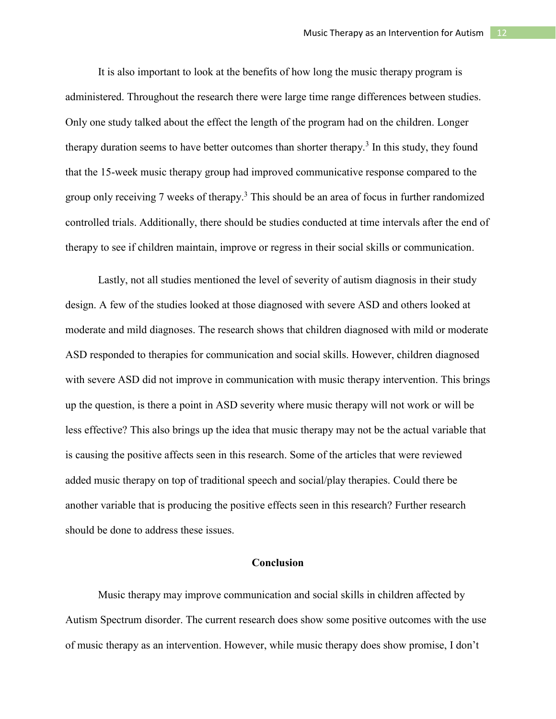It is also important to look at the benefits of how long the music therapy program is administered. Throughout the research there were large time range differences between studies. Only one study talked about the effect the length of the program had on the children. Longer therapy duration seems to have better outcomes than shorter therapy.<sup>3</sup> In this study, they found that the 15-week music therapy group had improved communicative response compared to the group only receiving 7 weeks of therapy.<sup>3</sup> This should be an area of focus in further randomized controlled trials. Additionally, there should be studies conducted at time intervals after the end of therapy to see if children maintain, improve or regress in their social skills or communication.

Lastly, not all studies mentioned the level of severity of autism diagnosis in their study design. A few of the studies looked at those diagnosed with severe ASD and others looked at moderate and mild diagnoses. The research shows that children diagnosed with mild or moderate ASD responded to therapies for communication and social skills. However, children diagnosed with severe ASD did not improve in communication with music therapy intervention. This brings up the question, is there a point in ASD severity where music therapy will not work or will be less effective? This also brings up the idea that music therapy may not be the actual variable that is causing the positive affects seen in this research. Some of the articles that were reviewed added music therapy on top of traditional speech and social/play therapies. Could there be another variable that is producing the positive effects seen in this research? Further research should be done to address these issues.

# **Conclusion**

Music therapy may improve communication and social skills in children affected by Autism Spectrum disorder. The current research does show some positive outcomes with the use of music therapy as an intervention. However, while music therapy does show promise, I don't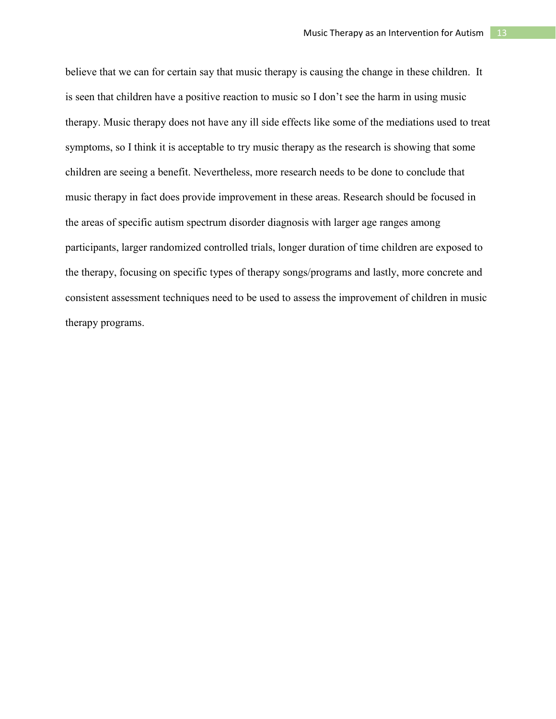believe that we can for certain say that music therapy is causing the change in these children. It is seen that children have a positive reaction to music so I don't see the harm in using music therapy. Music therapy does not have any ill side effects like some of the mediations used to treat symptoms, so I think it is acceptable to try music therapy as the research is showing that some children are seeing a benefit. Nevertheless, more research needs to be done to conclude that music therapy in fact does provide improvement in these areas. Research should be focused in the areas of specific autism spectrum disorder diagnosis with larger age ranges among participants, larger randomized controlled trials, longer duration of time children are exposed to the therapy, focusing on specific types of therapy songs/programs and lastly, more concrete and consistent assessment techniques need to be used to assess the improvement of children in music therapy programs.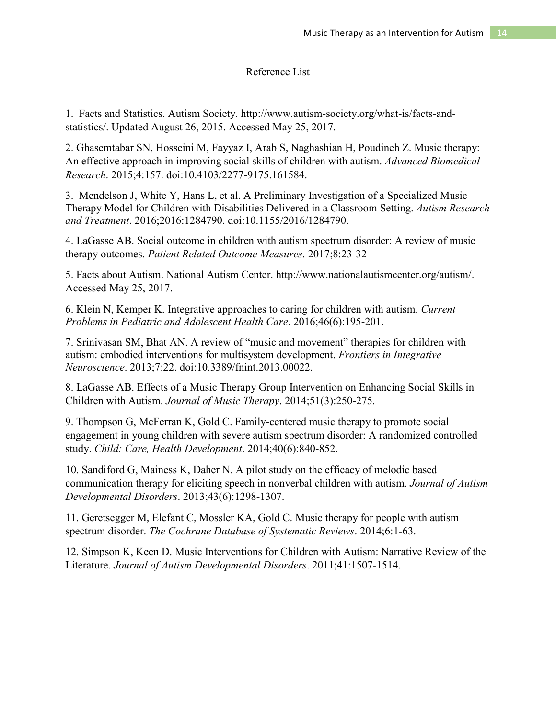# Reference List

1. Facts and Statistics. Autism Society. http://www.autism-society.org/what-is/facts-andstatistics/. Updated August 26, 2015. Accessed May 25, 2017.

2. Ghasemtabar SN, Hosseini M, Fayyaz I, Arab S, Naghashian H, Poudineh Z. Music therapy: An effective approach in improving social skills of children with autism. *Advanced Biomedical Research*. 2015;4:157. doi:10.4103/2277-9175.161584.

3. Mendelson J, White Y, Hans L, et al. A Preliminary Investigation of a Specialized Music Therapy Model for Children with Disabilities Delivered in a Classroom Setting. *Autism Research and Treatment*. 2016;2016:1284790. doi:10.1155/2016/1284790.

4. LaGasse AB. Social outcome in children with autism spectrum disorder: A review of music therapy outcomes. *Patient Related Outcome Measures*. 2017;8:23-32

5. Facts about Autism. National Autism Center. http://www.nationalautismcenter.org/autism/. Accessed May 25, 2017.

6. Klein N, Kemper K. Integrative approaches to caring for children with autism. *Current Problems in Pediatric and Adolescent Health Care*. 2016;46(6):195-201.

7. Srinivasan SM, Bhat AN. A review of "music and movement" therapies for children with autism: embodied interventions for multisystem development. *Frontiers in Integrative Neuroscience*. 2013;7:22. doi:10.3389/fnint.2013.00022.

8. LaGasse AB. Effects of a Music Therapy Group Intervention on Enhancing Social Skills in Children with Autism. *Journal of Music Therapy*. 2014;51(3):250-275.

9. Thompson G, McFerran K, Gold C. Family-centered music therapy to promote social engagement in young children with severe autism spectrum disorder: A randomized controlled study. *Child: Care, Health Development*. 2014;40(6):840-852.

10. Sandiford G, Mainess K, Daher N. A pilot study on the efficacy of melodic based communication therapy for eliciting speech in nonverbal children with autism. *Journal of Autism Developmental Disorders*. 2013;43(6):1298-1307.

11. Geretsegger M, Elefant C, Mossler KA, Gold C. Music therapy for people with autism spectrum disorder. *The Cochrane Database of Systematic Reviews*. 2014;6:1-63.

12. Simpson K, Keen D. Music Interventions for Children with Autism: Narrative Review of the Literature. *Journal of Autism Developmental Disorders*. 2011;41:1507-1514.